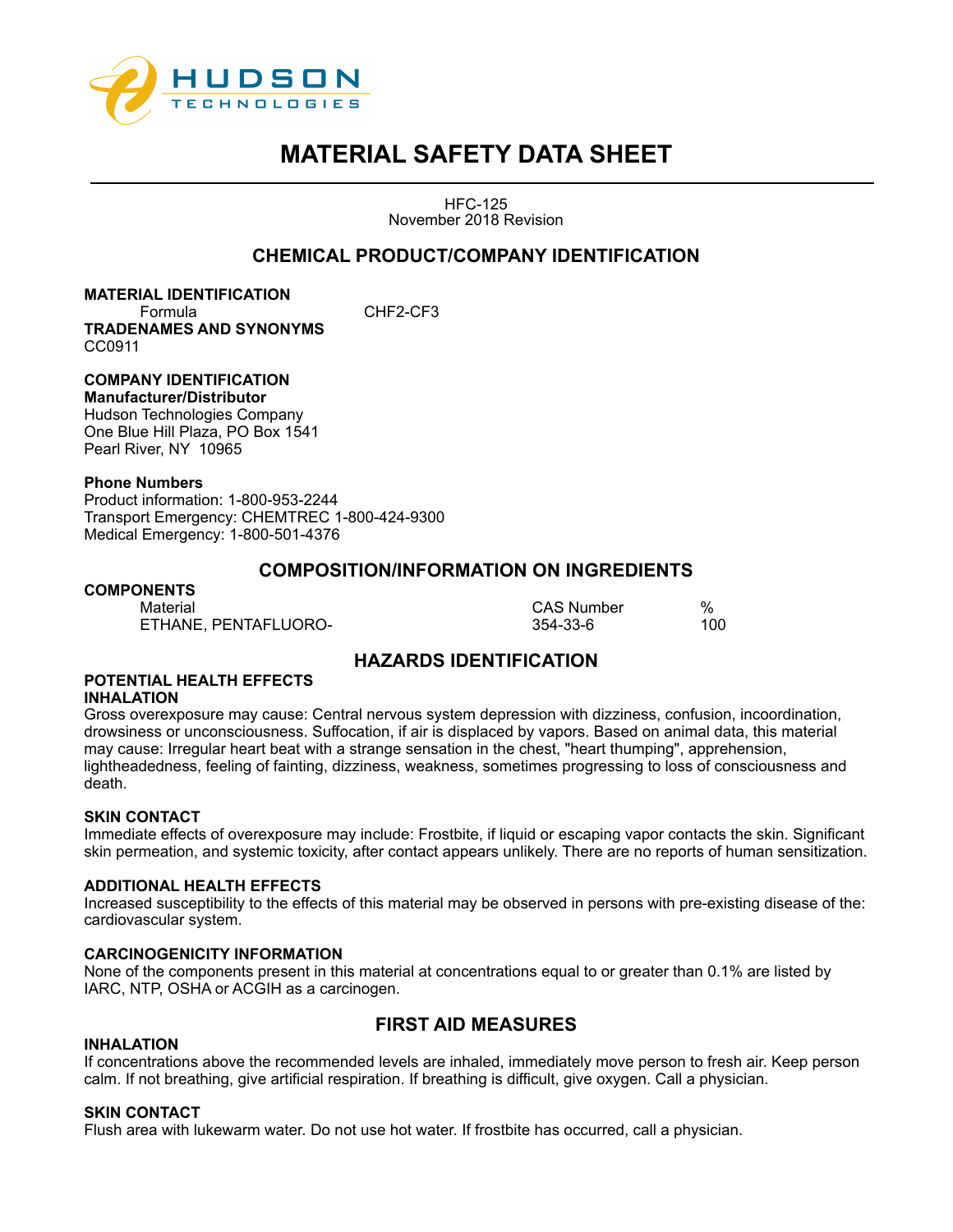

HFC-125 November 2018 Revision

# **CHEMICAL PRODUCT/COMPANY IDENTIFICATION**

# **MATERIAL IDENTIFICATION**

Formula CHF2-CF3 **TRADENAMES AND SYNONYMS** CC0911

#### **COMPANY IDENTIFICATION Manufacturer/Distributor**

Hudson Technologies Company One Blue Hill Plaza, PO Box 1541 Pearl River, NY 10965

# **Phone Numbers**

Product information: 1-800-953-2244 Transport Emergency: CHEMTREC 1-800-424-9300 Medical Emergency: 1-800-501-4376

# **COMPOSITION/INFORMATION ON INGREDIENTS**

## **COMPONENTS** Material CAS Number % ETHANE, PENTAFLUORO- 354-33-6 100

# **HAZARDS IDENTIFICATION**

### **POTENTIAL HEALTH EFFECTS INHALATION**

Gross overexposure may cause: Central nervous system depression with dizziness, confusion, incoordination, drowsiness or unconsciousness. Suffocation, if air is displaced by vapors. Based on animal data, this material may cause: Irregular heart beat with a strange sensation in the chest, "heart thumping", apprehension, lightheadedness, feeling of fainting, dizziness, weakness, sometimes progressing to loss of consciousness and death.

# **SKIN CONTACT**

Immediate effects of overexposure may include: Frostbite, if liquid or escaping vapor contacts the skin. Significant skin permeation, and systemic toxicity, after contact appears unlikely. There are no reports of human sensitization.

## **ADDITIONAL HEALTH EFFECTS**

Increased susceptibility to the effects of this material may be observed in persons with pre-existing disease of the: cardiovascular system.

## **CARCINOGENICITY INFORMATION**

None of the components present in this material at concentrations equal to or greater than 0.1% are listed by IARC, NTP, OSHA or ACGIH as a carcinogen.

# **FIRST AID MEASURES**

## **INHALATION**

If concentrations above the recommended levels are inhaled, immediately move person to fresh air. Keep person calm. If not breathing, give artificial respiration. If breathing is difficult, give oxygen. Call a physician.

## **SKIN CONTACT**

Flush area with lukewarm water. Do not use hot water. If frostbite has occurred, call a physician.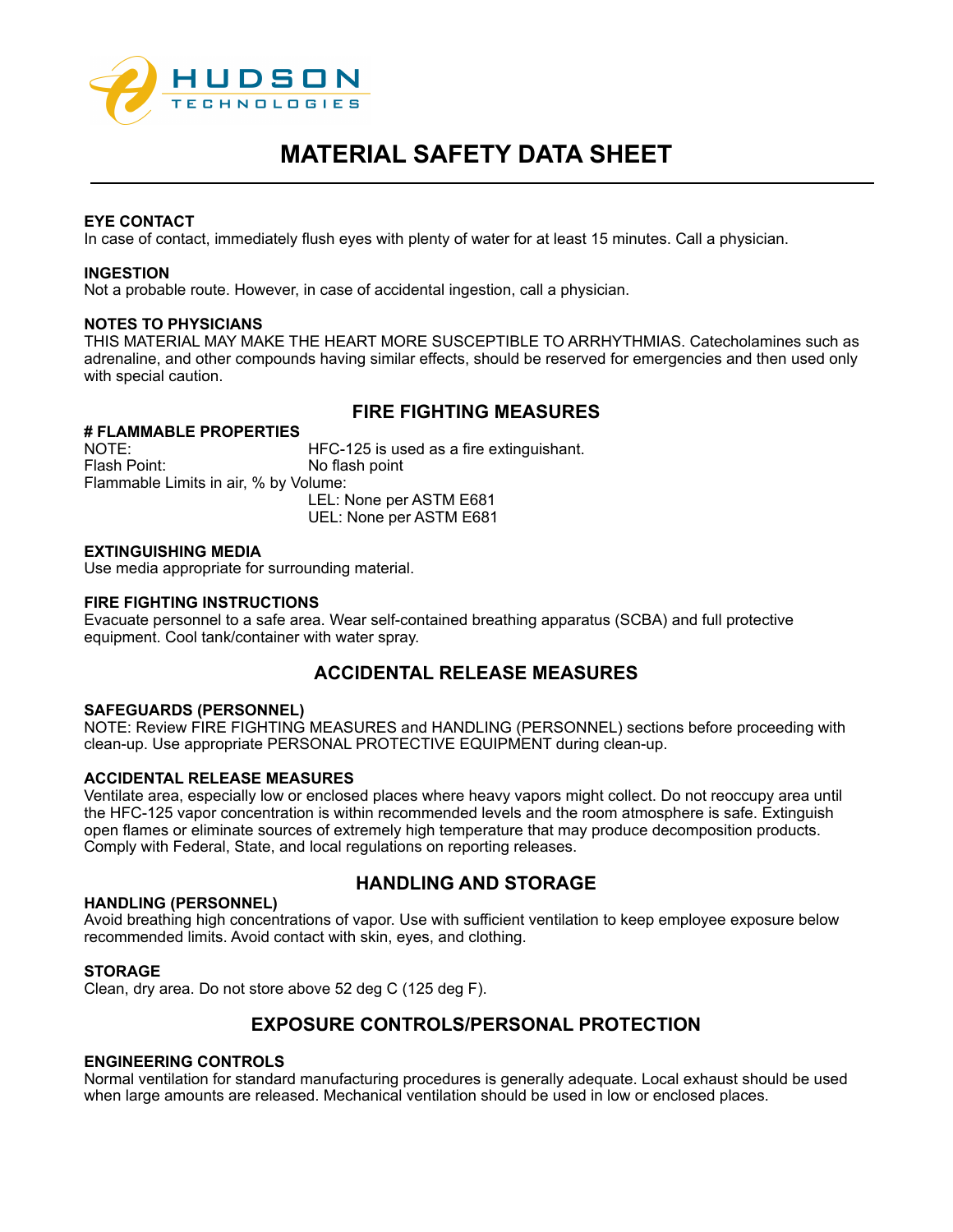

# **EYE CONTACT**

In case of contact, immediately flush eyes with plenty of water for at least 15 minutes. Call a physician.

## **INGESTION**

Not a probable route. However, in case of accidental ingestion, call a physician.

### **NOTES TO PHYSICIANS**

THIS MATERIAL MAY MAKE THE HEART MORE SUSCEPTIBLE TO ARRHYTHMIAS. Catecholamines such as adrenaline, and other compounds having similar effects, should be reserved for emergencies and then used only with special caution.

# **FIRE FIGHTING MEASURES**

# **# FLAMMABLE PROPERTIES**

HFC-125 is used as a fire extinguishant. Flash Point: No flash point Flammable Limits in air, % by Volume: LEL: None per ASTM E681 UEL: None per ASTM E681

## **EXTINGUISHING MEDIA**

Use media appropriate for surrounding material.

### **FIRE FIGHTING INSTRUCTIONS**

Evacuate personnel to a safe area. Wear self-contained breathing apparatus (SCBA) and full protective equipment. Cool tank/container with water spray.

# **ACCIDENTAL RELEASE MEASURES**

#### **SAFEGUARDS (PERSONNEL)**

NOTE: Review FIRE FIGHTING MEASURES and HANDLING (PERSONNEL) sections before proceeding with clean-up. Use appropriate PERSONAL PROTECTIVE EQUIPMENT during clean-up.

# **ACCIDENTAL RELEASE MEASURES**

Ventilate area, especially low or enclosed places where heavy vapors might collect. Do not reoccupy area until the HFC-125 vapor concentration is within recommended levels and the room atmosphere is safe. Extinguish open flames or eliminate sources of extremely high temperature that may produce decomposition products. Comply with Federal, State, and local regulations on reporting releases.

## **HANDLING (PERSONNEL)**

# **HANDLING AND STORAGE**

Avoid breathing high concentrations of vapor. Use with sufficient ventilation to keep employee exposure below recommended limits. Avoid contact with skin, eyes, and clothing.

### **STORAGE**

Clean, dry area. Do not store above 52 deg C (125 deg F).

# **EXPOSURE CONTROLS/PERSONAL PROTECTION**

### **ENGINEERING CONTROLS**

Normal ventilation for standard manufacturing procedures is generally adequate. Local exhaust should be used when large amounts are released. Mechanical ventilation should be used in low or enclosed places.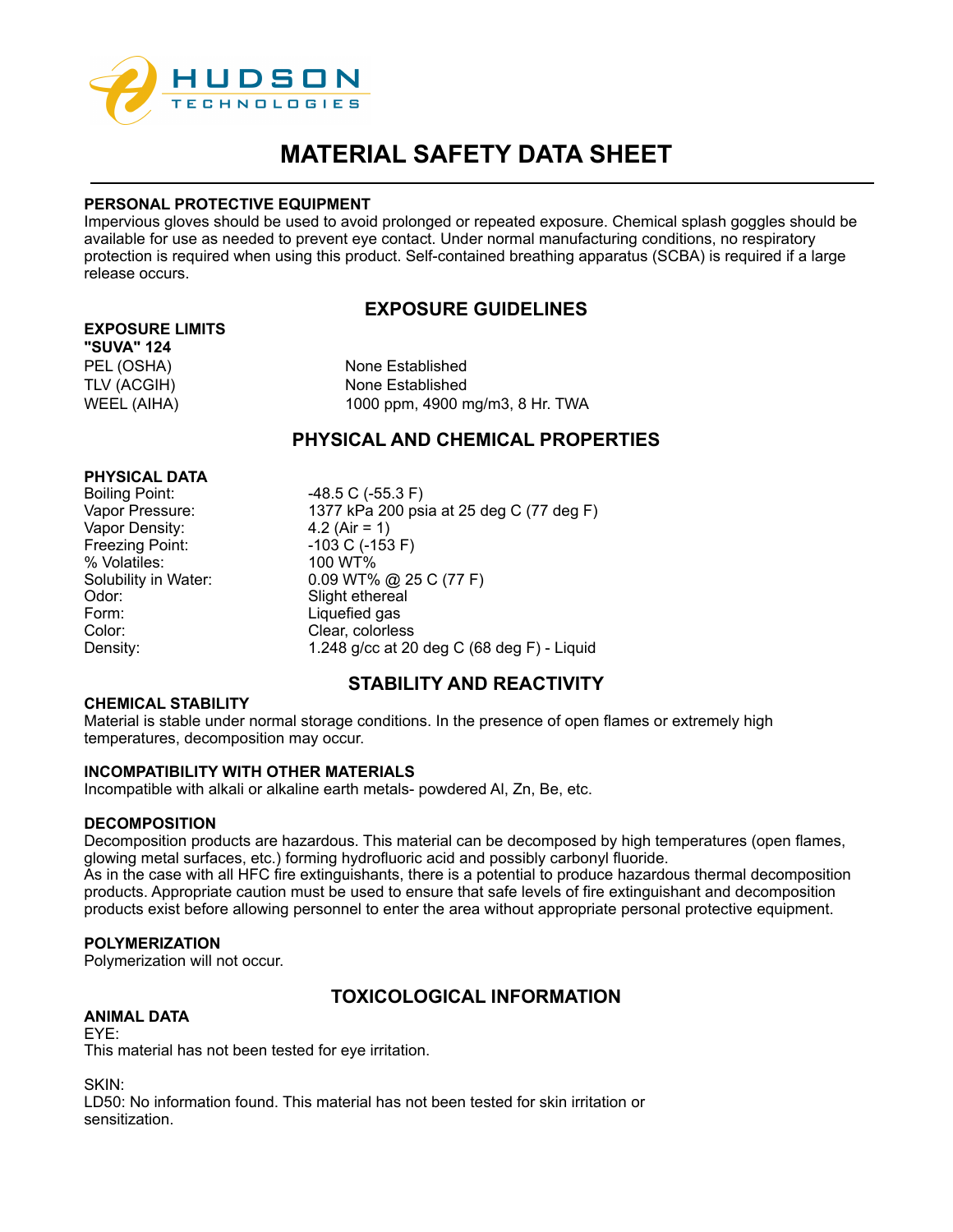

## **PERSONAL PROTECTIVE EQUIPMENT**

Impervious gloves should be used to avoid prolonged or repeated exposure. Chemical splash goggles should be available for use as needed to prevent eye contact. Under normal manufacturing conditions, no respiratory protection is required when using this product. Self-contained breathing apparatus (SCBA) is required if a large release occurs.

# **EXPOSURE GUIDELINES**

# **EXPOSURE LIMITS**

**"SUVA" 124**

PEL (OSHA) None Established TLV (ACGIH) None Established WEEL (AIHA) 1000 ppm, 4900 mg/m3, 8 Hr. TWA

# **PHYSICAL AND CHEMICAL PROPERTIES**

## **PHYSICAL DATA**

Boiling Point: -48.5 C (-55.3 F) Vapor Density: Freezing Point: -103 C (-153 F) % Volatiles: 100 WT%<br>Solubility in Water: 0.09 WT% Odor: Slight ethereal Form: Liquefied gas<br>Color: Clear colorles

Vapor Pressure: 1377 kPa 200 psia at 25 deg C (77 deg F)<br>Vapor Density: 4.2 (Air = 1)  $0.09$  WT% @ 25 C (77 F) Clear, colorless Density: 1.248 g/cc at 20 deg C (68 deg F) - Liquid

# **STABILITY AND REACTIVITY**

# **CHEMICAL STABILITY**

Material is stable under normal storage conditions. In the presence of open flames or extremely high temperatures, decomposition may occur.

## **INCOMPATIBILITY WITH OTHER MATERIALS**

Incompatible with alkali or alkaline earth metals- powdered Al, Zn, Be, etc.

## **DECOMPOSITION**

Decomposition products are hazardous. This material can be decomposed by high temperatures (open flames, glowing metal surfaces, etc.) forming hydrofluoric acid and possibly carbonyl fluoride.

As in the case with all HFC fire extinguishants, there is a potential to produce hazardous thermal decomposition products. Appropriate caution must be used to ensure that safe levels of fire extinguishant and decomposition products exist before allowing personnel to enter the area without appropriate personal protective equipment.

## **POLYMERIZATION**

Polymerization will not occur.

# **TOXICOLOGICAL INFORMATION**

## **ANIMAL DATA**

# EYE:

This material has not been tested for eye irritation.

SKIN:

LD50: No information found. This material has not been tested for skin irritation or sensitization.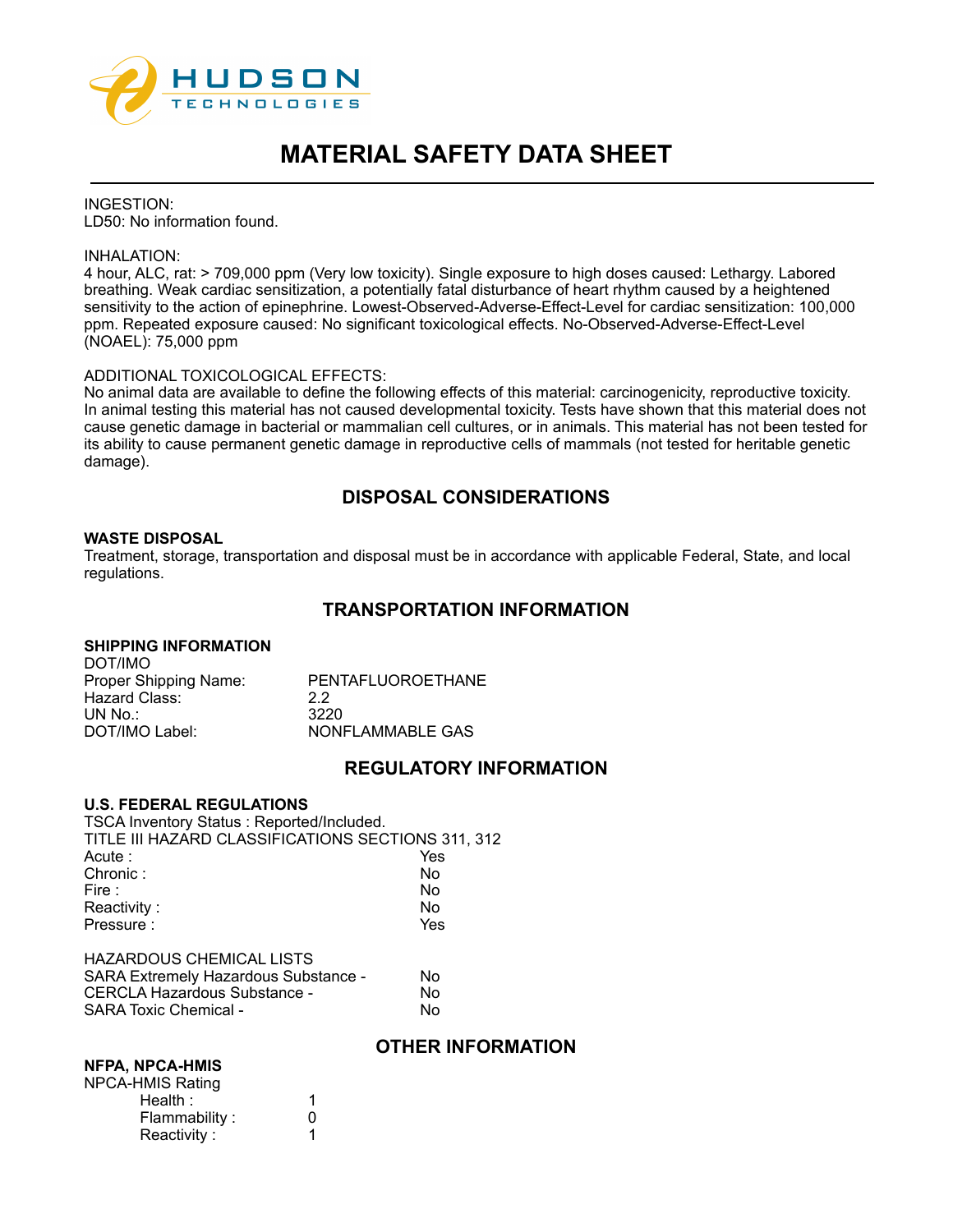

INGESTION: LD50: No information found.

#### INHALATION:

4 hour, ALC, rat: > 709,000 ppm (Very low toxicity). Single exposure to high doses caused: Lethargy. Labored breathing. Weak cardiac sensitization, a potentially fatal disturbance of heart rhythm caused by a heightened sensitivity to the action of epinephrine. Lowest-Observed-Adverse-Effect-Level for cardiac sensitization: 100,000 ppm. Repeated exposure caused: No significant toxicological effects. No-Observed-Adverse-Effect-Level (NOAEL): 75,000 ppm

## ADDITIONAL TOXICOLOGICAL EFFECTS:

No animal data are available to define the following effects of this material: carcinogenicity, reproductive toxicity. In animal testing this material has not caused developmental toxicity. Tests have shown that this material does not cause genetic damage in bacterial or mammalian cell cultures, or in animals. This material has not been tested for its ability to cause permanent genetic damage in reproductive cells of mammals (not tested for heritable genetic damage).

# **DISPOSAL CONSIDERATIONS**

### **WASTE DISPOSAL**

Treatment, storage, transportation and disposal must be in accordance with applicable Federal, State, and local regulations.

# **TRANSPORTATION INFORMATION**

## **SHIPPING INFORMATION**

| DOT/IMO               |                   |
|-----------------------|-------------------|
| Proper Shipping Name: | PENTAFLUOROETHANE |
| Hazard Class:         | 22                |
| UN No $\therefore$    | 3220              |
| DOT/IMO Label:        | NONFLAMMABLE GAS  |
|                       |                   |

# **REGULATORY INFORMATION**

#### **U.S. FEDERAL REGULATIONS**

TSCA Inventory Status : Reported/Included. TITLE III HAZARD CLASSIFICATIONS SECTIONS 311, 312 Acute : Yes Chronic : Fire : No Reactivity : No Pressure :  $Y$ es HAZARDOUS CHEMICAL LISTS

| <b>SARA Extremely Hazardous Substance -</b> | N٥ |
|---------------------------------------------|----|
| CERCLA Hazardous Substance -                | N٥ |
| <b>SARA Toxic Chemical -</b>                | N٥ |
|                                             |    |

# **OTHER INFORMATION**

#### **NFPA, NPCA-HMIS**

| <b>NPCA-HMIS Rating</b> |              |
|-------------------------|--------------|
| Health:                 |              |
| Flammability:           | $\mathbf{0}$ |
| Reactivity:             |              |